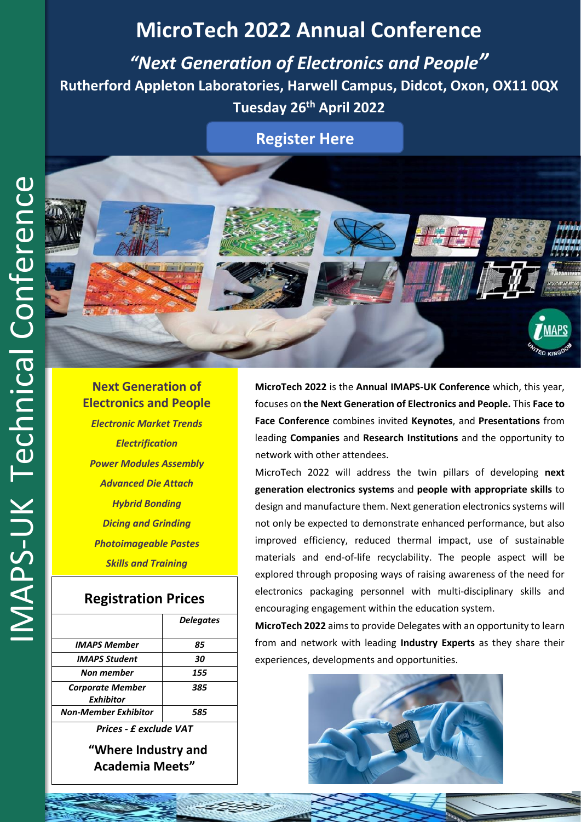# **MicroTech 2022 Annual Conference**

*"Next Generation of Electronics and People"* **Rutherford Appleton Laboratories, Harwell Campus, Didcot, Oxon, OX11 0QX Tuesday 26 th April 2022**

**[Register Here](https://www.imaps.org.uk/events/microtech-2022-next-generation-of-electronics-and-people/)**



*Electronic Market Trends Electrification Power Modules Assembly Advanced Die Attach Hybrid Bonding Dicing and Grinding Photoimageable Pastes Skills and Training*

# **Registration Prices**

| <b>Delegates</b> |
|------------------|
| 85               |
| 30               |
| 155              |
| 385              |
| 585              |
|                  |

*Prices - £ exclude VAT* **"Where Industry and Academia Meets"**

**MicroTech 2022** is the **Annual IMAPS-UK Conference** which, this year, focuses on **the Next Generation of Electronics and People.** This **Face to Face Conference** combines invited **Keynotes**, and **Presentations** from leading **Companies** and **Research Institutions** and the opportunity to network with other attendees.

MicroTech 2022 will address the twin pillars of developing **next generation electronics systems** and **people with appropriate skills** to design and manufacture them. Next generation electronics systems will not only be expected to demonstrate enhanced performance, but also improved efficiency, reduced thermal impact, use of sustainable materials and end-of-life recyclability. The people aspect will be explored through proposing ways of raising awareness of the need for electronics packaging personnel with multi-disciplinary skills and encouraging engagement within the education system.

**MicroTech 2022** aims to provide Delegates with an opportunity to learn from and network with leading **Industry Experts** as they share their experiences, developments and opportunities.